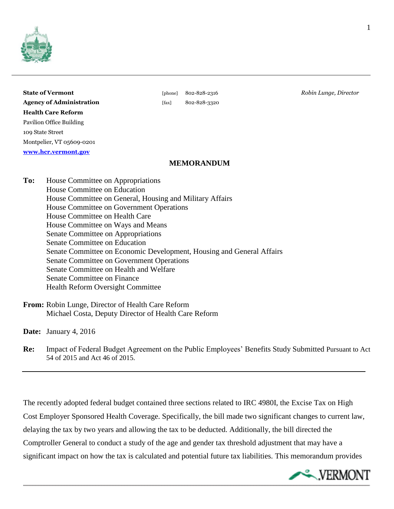

| <b>State of Vermont</b>         |
|---------------------------------|
| <b>Agency of Administration</b> |
| <b>Health Care Reform</b>       |
| <b>Pavilion Office Building</b> |
| 109 State Street                |
| Montpelier, VT 05609-0201       |
| www.hcr.vermont.gov             |

# **Agency of Administration** [fax] 802-828-3320

**State of Vermont** [phone] 802-828-2316 *Robin Lunge, Director*

## **MEMORANDUM**

**To:** House Committee on Appropriations House Committee on Education House Committee on General, Housing and Military Affairs House Committee on Government Operations House Committee on Health Care House Committee on Ways and Means Senate Committee on Appropriations Senate Committee on Education Senate Committee on Economic Development, Housing and General Affairs Senate Committee on Government Operations Senate Committee on Health and Welfare Senate Committee on Finance Health Reform Oversight Committee

**From:** Robin Lunge, Director of Health Care Reform Michael Costa, Deputy Director of Health Care Reform

**Date:** January 4, 2016

**Re:** Impact of Federal Budget Agreement on the Public Employees' Benefits Study Submitted Pursuant to Act 54 of 2015 and Act 46 of 2015.

The recently adopted federal budget contained three sections related to IRC 4980I, the Excise Tax on High Cost Employer Sponsored Health Coverage. Specifically, the bill made two significant changes to current law, delaying the tax by two years and allowing the tax to be deducted. Additionally, the bill directed the Comptroller General to conduct a study of the age and gender tax threshold adjustment that may have a significant impact on how the tax is calculated and potential future tax liabilities. This memorandum provides

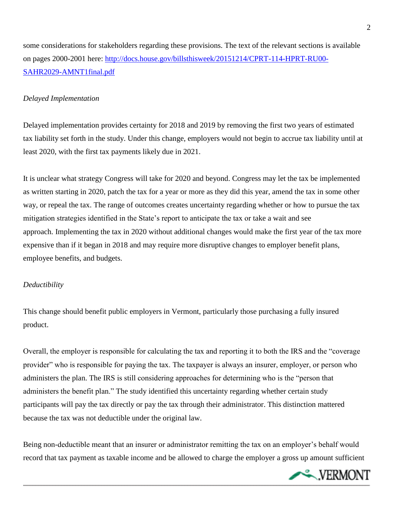some considerations for stakeholders regarding these provisions. The text of the relevant sections is available on pages 2000-2001 here: [http://docs.house.gov/billsthisweek/20151214/CPRT-114-HPRT-RU00-](http://docs.house.gov/billsthisweek/20151214/CPRT-114-HPRT-RU00-SAHR2029-AMNT1final.pdf) [SAHR2029-AMNT1final.pdf](http://docs.house.gov/billsthisweek/20151214/CPRT-114-HPRT-RU00-SAHR2029-AMNT1final.pdf)

### *Delayed Implementation*

Delayed implementation provides certainty for 2018 and 2019 by removing the first two years of estimated tax liability set forth in the study. Under this change, employers would not begin to accrue tax liability until at least 2020, with the first tax payments likely due in 2021.

It is unclear what strategy Congress will take for 2020 and beyond. Congress may let the tax be implemented as written starting in 2020, patch the tax for a year or more as they did this year, amend the tax in some other way, or repeal the tax. The range of outcomes creates uncertainty regarding whether or how to pursue the tax mitigation strategies identified in the State's report to anticipate the tax or take a wait and see approach. Implementing the tax in 2020 without additional changes would make the first year of the tax more expensive than if it began in 2018 and may require more disruptive changes to employer benefit plans, employee benefits, and budgets.

### *Deductibility*

This change should benefit public employers in Vermont, particularly those purchasing a fully insured product.

Overall, the employer is responsible for calculating the tax and reporting it to both the IRS and the "coverage provider" who is responsible for paying the tax. The taxpayer is always an insurer, employer, or person who administers the plan. The IRS is still considering approaches for determining who is the "person that administers the benefit plan." The study identified this uncertainty regarding whether certain study participants will pay the tax directly or pay the tax through their administrator. This distinction mattered because the tax was not deductible under the original law.

Being non-deductible meant that an insurer or administrator remitting the tax on an employer's behalf would record that tax payment as taxable income and be allowed to charge the employer a gross up amount sufficient